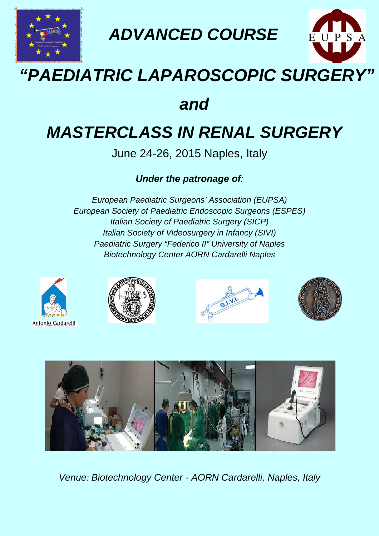

**ADVANCED COURSE**

# **"PAEDIATRIC LAPAROSCOPIC SURGERY" EDIATRIC**

# **and**

# **MASTERCLASS IN RENAL SURGERY**

June 24-26, 2015 Naples, Italy

## **Under the patronage of** :

European Paediatric Surgeons' Association (EUPSA) European Society of P Paediatric Endoscopic Surgeons (ESPES) Italian Society of Paediatric Surgery (SICP) Italian Society of Videosurgery in Infancy (SIVI) Paediatric Surgery "Federico II" University of Naples Biotechnology Center AORN Cardarelli Naples









EUPSA



Venue: Biotechnology Center - AORN Cardarelli, Naples, Italy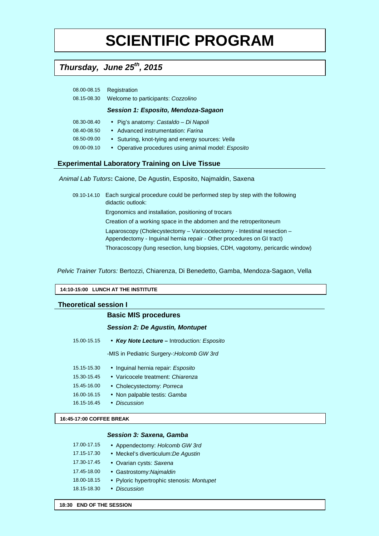# **SCIENTIFIC PROGRAM**

## **Thursday, June 25th, 2015**

| 08.00-08.15 | Registration                       |
|-------------|------------------------------------|
| 08.15-08.30 | Welcome to participants: Cozzolino |

### **Session 1: Esposito, Mendoza-Sagaon**

| 08.30-08.40 | • Pig's anatomy: Castaldo – Di Napoli               |
|-------------|-----------------------------------------------------|
| 08.40-08.50 | • Advanced instrumentation: Farina                  |
| 08.50-09.00 | • Suturing, knot-tying and energy sources: Vella    |
| 09.00-09.10 | • Operative procedures using animal model: Esposito |

### **Experimental Laboratory Training on Live Tissue**

Animal Lab Tutors**:** Caione, De Agustin, Esposito, Najmaldin, Saxena

09.10-14.10 Each surgical procedure could be performed step by step with the following didactic outlook: Ergonomics and installation, positioning of trocars Creation of a working space in the abdomen and the retroperitoneum Laparoscopy (Cholecystectomy – Varicocelectomy - Intestinal resection – Appendectomy - Inguinal hernia repair - Other procedures on GI tract) Thoracoscopy (lung resection, lung biopsies, CDH, vagotomy, pericardic window)

Pelvic Trainer Tutors: Bertozzi, Chiarenza, Di Benedetto, Gamba, Mendoza-Sagaon, Vella

#### **14:10-15:00 LUNCH AT THE INSTITUTE**

### **Theoretical session I**

### **Basic MIS procedures**

#### **Session 2: De Agustin, Montupet**

15.00-15.15 • **Key Note Lecture –** Introduction: Esposito

-MIS in Pediatric Surgery-:Holcomb GW 3rd

- 15.15-15.30 Inguinal hernia repair: Esposito
- 15.30-15.45 Varicocele treatment: Chiarenza
- 15.45-16.00 Cholecystectomy: Porreca
- 16.00-16.15 Non palpable testis: Gamba
- 16.15-16.45 Discussion

### **16:45-17:00 COFFEE BREAK**

### **Session 3: Saxena, Gamba**

| 17.00-17.15 | • Appendectomy: Holcomb GW 3rd            |
|-------------|-------------------------------------------|
| 17.15-17.30 | • Meckel's diverticulum: De Aqustin       |
| 17.30-17.45 | • Ovarian cysts: Saxena                   |
| 17.45-18.00 | • Gastrostomy: Najmaldin                  |
| 18.00-18.15 | • Pyloric hypertrophic stenosis: Montupet |
| 18.15-18.30 | • Discussion                              |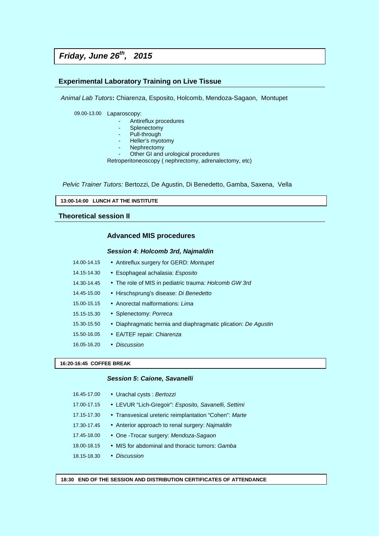## **Friday, June 26th, 2015**

### **Experimental Laboratory Training on Live Tissue**

Animal Lab Tutors**:** Chiarenza, Esposito, Holcomb, Mendoza-Sagaon, Montupet

09.00-13.00 Laparoscopy:

- Antireflux procedures
- Splenectomy
- Pull-through
- Heller's myotomy
- Nephrectomy

Other GI and urological procedures

Retroperitoneoscopy ( nephrectomy, adrenalectomy, etc)

Pelvic Trainer Tutors: Bertozzi, De Agustin, Di Benedetto, Gamba, Saxena, Vella

**13:00-14:00 LUNCH AT THE INSTITUTE** 

### **Theoretical session II**

### **Advanced MIS procedures**

#### **Session 4: Holcomb 3rd, Najmaldin**

| 14.00-14.15 | • Antireflux surgery for GERD: Montupet                        |
|-------------|----------------------------------------------------------------|
| 14.15-14.30 | • Esophageal achalasia: Esposito                               |
| 14.30-14.45 | • The role of MIS in pediatric trauma: Holcomb GW 3rd          |
| 14.45-15.00 | • Hirschsprung's disease: Di Benedetto                         |
| 15.00-15.15 | • Anorectal malformations: Lima                                |
| 15.15-15.30 | • Splenectomy: Porreca                                         |
| 15.30-15.50 | • Diaphragmatic hernia and diaphragmatic plication: De Agustin |
| 15.50-16.05 | • EA/TEF repair: Chiarenza                                     |
| 16.05-16.20 | • Discussion                                                   |

#### **16:20-16:45 COFFEE BREAK**

### **Session 5: Caione, Savanelli**

| 16.45-17.00 | • Urachal cysts: Bertozzi                             |
|-------------|-------------------------------------------------------|
| 17.00-17.15 | • LEVUR "Lich-Gregoir": Esposito, Savanelli, Settimi  |
| 17.15-17.30 | • Transvesical ureteric reimplantation "Cohen": Marte |
| 17.30-17.45 | • Anterior approach to renal surgery: Najmaldin       |
| 17.45-18.00 | • One -Trocar surgery: Mendoza-Sagaon                 |
| 18.00-18.15 | • MIS for abdominal and thoracic tumors: Gamba        |
| 18.15-18.30 | • Discussion                                          |
|             |                                                       |

**18:30 END OF THE SESSION AND DISTRIBUTION CERTIFICATES OF ATTENDANCE**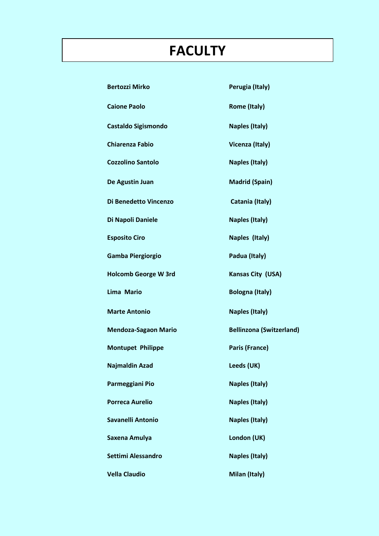# **FACULTY**

| <b>Bertozzi Mirko</b>       | Perugia (Italy)                 |
|-----------------------------|---------------------------------|
| <b>Caione Paolo</b>         | <b>Rome (Italy)</b>             |
| <b>Castaldo Sigismondo</b>  | <b>Naples (Italy)</b>           |
| <b>Chiarenza Fabio</b>      | Vicenza (Italy)                 |
| <b>Cozzolino Santolo</b>    | <b>Naples (Italy)</b>           |
| De Agustin Juan             | <b>Madrid (Spain)</b>           |
| Di Benedetto Vincenzo       | Catania (Italy)                 |
| Di Napoli Daniele           | <b>Naples (Italy)</b>           |
| <b>Esposito Ciro</b>        | Naples (Italy)                  |
| <b>Gamba Piergiorgio</b>    | Padua (Italy)                   |
| <b>Holcomb George W 3rd</b> | Kansas City (USA)               |
| <b>Lima Mario</b>           | <b>Bologna (Italy)</b>          |
| <b>Marte Antonio</b>        | <b>Naples (Italy)</b>           |
| <b>Mendoza-Sagaon Mario</b> | <b>Bellinzona (Switzerland)</b> |
| <b>Montupet Philippe</b>    | <b>Paris (France)</b>           |
| <b>Najmaldin Azad</b>       | Leeds (UK)                      |
| Parmeggiani Pio             | <b>Naples (Italy)</b>           |
| <b>Porreca Aurelio</b>      | <b>Naples (Italy)</b>           |
| <b>Savanelli Antonio</b>    | <b>Naples (Italy)</b>           |
| Saxena Amulya               | London (UK)                     |
| <b>Settimi Alessandro</b>   | <b>Naples (Italy)</b>           |
| <b>Vella Claudio</b>        | Milan (Italy)                   |